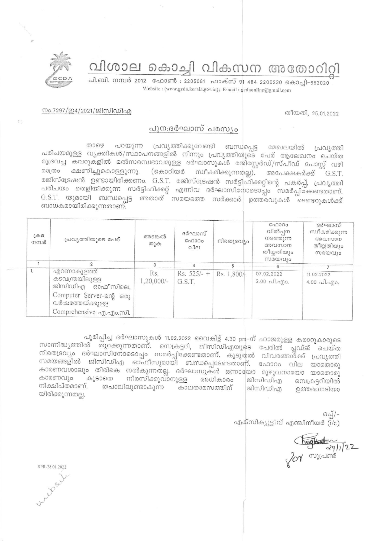വിശാല കൊച്ചി വികസന അതോറിറ്റി



പി.ബി. നമ്പർ 2012 ഫോൺ : 2205061 ഫാക്സ് 91 484 2206230 കൊച്ചി-682020 Website: (www.gcda.kerala.gov.in); E-mail: gcdaonline@gmail.com

തീയതി, 25.01.2022

## നം.7297/ഇ4/2021/ജിസിഡിഎ

## പുന:ദർഘാസ് പരസ്യം

പ്രവൃത്തിക്കുവേണ്ടി ബന്ധപ്പെട്ട പറയുന്ന ෩෮෨ മേഖലയിൽ പ്രവ്യത്തി പരിചയമുള്ള വൃക്തികൾ/സ്ഥാപനങ്ങളിൽ നിന്നും പ്രവൃത്തിയുടെ പേര് ആലേഖനം ചെയ്ത മുദ്രവച്ച കവറുകളിൽ മൽസരസ്വഭാവമുള്ള ദർഘാസുകൾ രജിസ്റ്റേർഡ്/സ്പീഡ് പോസ്റ്റ് വഴി ക്ഷണിച്ചുകൊള്ളുന്നു. (കൊറിയർ സ്വീകരിക്കുന്നതല്ല). മാത്രം അപേക്ഷകർക്ക് G.S.T. രജിസ്ട്രേഷൻ ഉണ്ടായിരിക്കണം. G.S.T. രജിസ്ട്രേഷൻ സർട്ടിഫിക്കറ്റിന്റെ പകർപ്പ്, പ്രവൃത്തി പരിചയം തെളിയിക്കുന്ന സർട്ടിഫിക്കറ്റ് എന്നിവ ദർഘാസിനോടൊപ്പം സമർപ്പിക്കേണ്ടതാണ്.  $G.S.T.$  യുമായി ബന്ധപ്പെട്ട അതാത് സമയത്തെ സർക്കാർ $\mid$  ഉത്തരവുകൾ ടെണ്ടറുകൾക്ക് ബാധകമായിരിക്കുന്നതാണ്.

| പ്രവൃത്തിയുടെ പേര്                                                                                | അടങ്കൽ<br>തുക               | ദർഘാസ്<br>C <sub>0</sub> 000<br>വില | നിരതദ്രവ്യം | വിൽപ്പന<br>നടത്തുന്ന<br>അവസാന<br>തീയ്യതിയും<br>സമയവും | സ്വീകരിക്കുന്ന<br>അവസാന<br>തീയ്യതിയും<br>സമയവും |
|---------------------------------------------------------------------------------------------------|-----------------------------|-------------------------------------|-------------|-------------------------------------------------------|-------------------------------------------------|
|                                                                                                   | 3                           |                                     |             |                                                       |                                                 |
| എറണാകുളത്ത്<br>കടവന്ത്രയിലുള്ള<br>ജിസിഡിഎ ഓഫീസിലെ,<br>Computer Server-ong ഒരു<br>വർഷത്തേയ്ക്കുള്ള | Rs.<br>$1,20,000/-$         | $Rs. 525/- +$<br>G.S.T.             | Rs. 1,800/- | 07.02.2022<br>$3.00 \neg A. \neg A.$                  | 11.02.2022<br>$4.00 \text{ Al.}$ and $\theta$ . |
|                                                                                                   |                             |                                     |             |                                                       |                                                 |
|                                                                                                   | Comprehensive ag. ago. mol. |                                     |             |                                                       |                                                 |

പൂരിപ്പിച്ച ദർഘാസുകൾ 11.02.2022 വൈകിട്ട് 4.30 pm-ന് ഹാജരുള്ള കരാറുകാരുടെ സാന്നിദ്ധ്യത്തിൽ തുറക്കുന്നതാണ്. സെക്രട്ടറി, ജിസിഡിഎയുടെ പേരിൽ പ്ലഡ്ജ് ചെയ്ത നിരതദ്രവ്യം ദർഘാസിനോടൊപ്പം സമർപ്പിക്കേണ്ടതാണ്. കൂടുതൽ വിവരങ്ങൾക്ക് പ്രവൃത്തി സമയങ്ങളിൽ ജിസിഡിഎ ഓഫീസുമായി ബന്ധപ്പെടേണ്ടതാണ്. ഫോറം വില യാതൊരു കാരണവശാലും തിരികെ നൽകുന്നതല്ല. ദർഘാസുകൾ ഒന്നായോ മുഴുവനായോ യാതൊരു കാരണവും കൂടാതെ നിരസിക്കുവാനുള്ള അധികാരം **galminulan** സെക്രട്ടറിയിൽ നിക്ഷിപ്തമാണ്. തപാലിലുണ്ടാകുന്ന കാലതാമസത്തിന് ജിസിഡിഹ ഉത്തരവാദിയാ യിരിക്കുന്നതല്ല.

> ഒപ്പ്/-എക്സിക്യൂട്ടീവ് എഞ്ചിനീയർ (i/c)

 $\frac{\sqrt{\frac{1}{2}}}{\frac{1}{2}22}$ 

RPR-28.01.2022 Luber